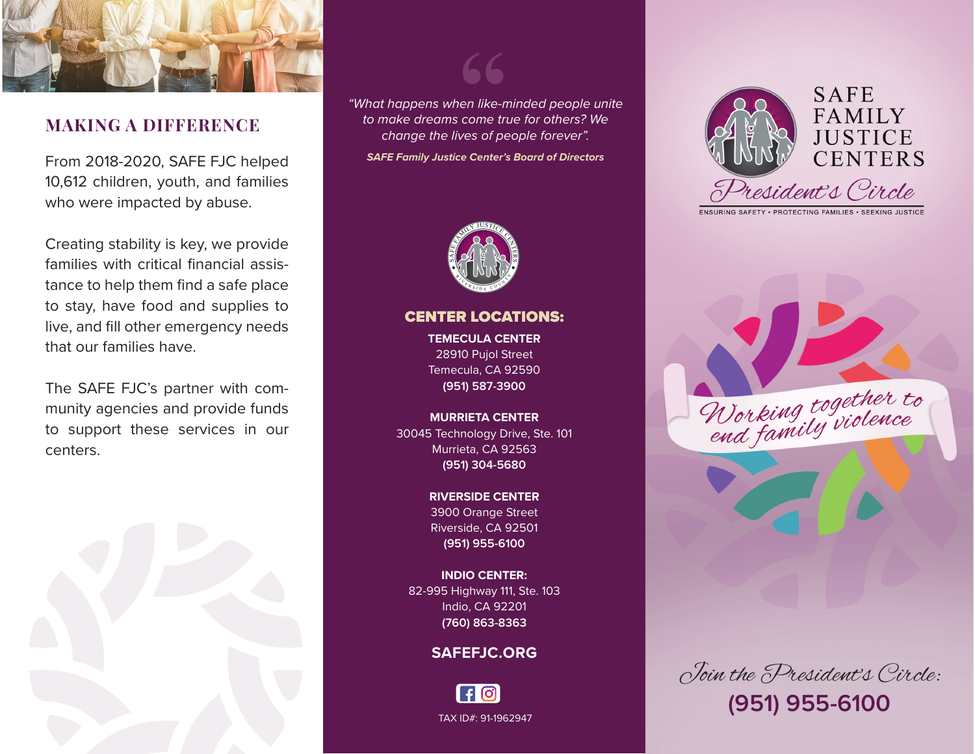

# **MAKING A DIFFERENCE**

From 2018-2020, SAFE FJC helped 10,612 children, youth, and families who were impacted by abuse.

Creating stability is key, we provide families with critical financial assistance to help them find a safe place to stay, have food and supplies to live, and fill other emergency needs that our families have.

The SAFE FJC's partner with community agencies and provide funds to support these services in our centers.



*"What happens when like-minded people unite to make dreams come true for others? We change the lives of people forever".* 

**"**

*SAFE Family Justice Center's Board of Directors*



CENTER LOCATIONS: **TEMECULA CENTER**  28910 Pujol Street Temecula, CA 92590 **(951) 587-3900**

**MURRIETA CENTER**  30045 Technology Drive, Ste. 101 Murrieta, CA 92563 **(951) 304-5680**

> **RIVERSIDE CENTER**  3900 Orange Street Riverside, CA 92501 **(951) 955-6100**

**INDIO CENTER:** 82-995 Highway 111, Ste. 103 Indio, CA 92201 **(760) 863-8363**

## **SAFEFJC.ORG**





ENSURING SAFETY . PROTECTING FAMILIES . SEEKING JUSTICE

Working together to

Join the President's Circle: **(951) 955-6100**